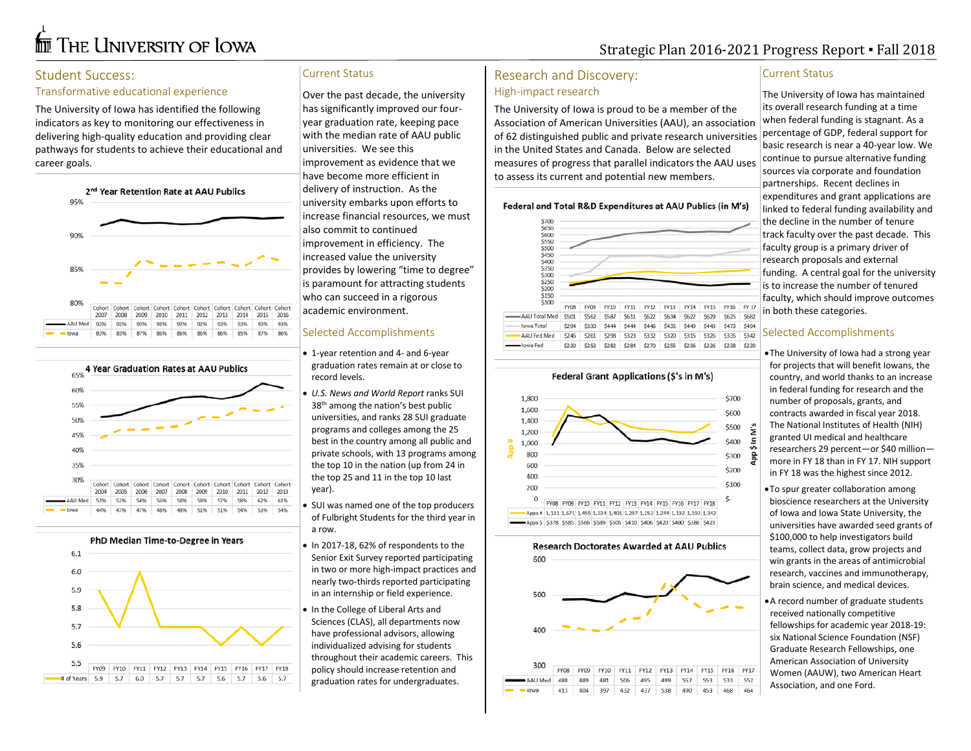# **for** The University of Iowa

# Strategic Plan 2016-2021 Progress Report ▪ Fall 2018

### Student Success:

#### Transformative educational experience

The University of Iowa has identified the following indicators as key to monitoring our effectiveness in delivering high-quality education and providing clear pathways for students to achieve their educational and career goals.







## Current Status

Over the past decade, the university has significantly improved our fouryear graduation rate, keeping pace with the median rate of AAU public universities. We see this improvement as evidence that we have become more efficient in delivery of instruction. As the university embarks upon efforts to increase financial resources, we must also commit to continued improvement in efficiency. The increased value the university provides by lowering "time to degree" is paramount for attracting students who can succeed in a rigorous academic environment.

#### Selected Accomplishments

- 1-year retention and 4- and 6-year graduation rates remain at or close to record levels.
- *U.S. News and World Report* ranks SUI 38th among the nation's best public universities, and ranks 28 SUI graduate programs and colleges among the 25 best in the country among all public and private schools, with 13 programs among the top 10 in the nation (up from 24 in the top 25 and 11 in the top 10 last year).
- SUI was named one of the top producers of Fulbright Students for the third year in a row.
- In 2017-18, 62% of respondents to the Senior Exit Survey reported participating in two or more high-impact practices and nearly two-thirds reported participating in an internship or field experience.
- In the College of Liberal Arts and Sciences (CLAS), all departments now have professional advisors, allowing individualized advising for students throughout their academic careers. This policy should increase retention and graduation rates for undergraduates.

# Research and Discovery: High-impact research

lowa Fed

\$230

The University of Iowa is proud to be a member of the Association of American Universities (AAU), an association of 62 distinguished public and private research universities in the United States and Canada. Below are selected measures of progress that parallel indicators the AAU uses to assess its current and potential new members.

#### Federal and Total R&D Expenditures at AAU Publics (in M's)



#### Federal Grant Applications (\$'s in M's)

\$255 \$236

\$226 \$238 \$239

\$252 \$282 \$284 \$270







#### Current Status

The University of Iowa has maintained its overall research funding at a time when federal funding is stagnant. As a percentage of GDP, federal support for basic research is near a 40-year low. We continue to pursue alternative funding sources via corporate and foundation partnerships. Recent declines in expenditures and grant applications are linked to federal funding availability and the decline in the number of tenure track faculty over the past decade. This faculty group is a primary driver of research proposals and external funding. A central goal for the university is to increase the number of tenured faculty, which should improve outcomes in both these categories.

#### Selected Accomplishments

•The University of Iowa had a strong year for projects that will benefit Iowans, the country, and world thanks to an increase in federal funding for research and the number of proposals, grants, and contracts awarded in fiscal year 2018. The National Institutes of Health (NIH) granted UI medical and healthcare researchers 29 percent—or \$40 million more in FY 18 than in FY 17. NIH support in FY 18 was the highest since 2012.

•To spur greater collaboration among bioscience researchers at the University of Iowa and Iowa State University, the universities have awarded seed grants of \$100,000 to help investigators build teams, collect data, grow projects and win grants in the areas of antimicrobial research, vaccines and immunotherapy, brain science, and medical devices.

•A record number of graduate students received nationally competitive fellowships for academic year 2018-19: six National Science Foundation (NSF) Graduate Research Fellowships, one American Association of University Women (AAUW), two American Heart Association, and one Ford.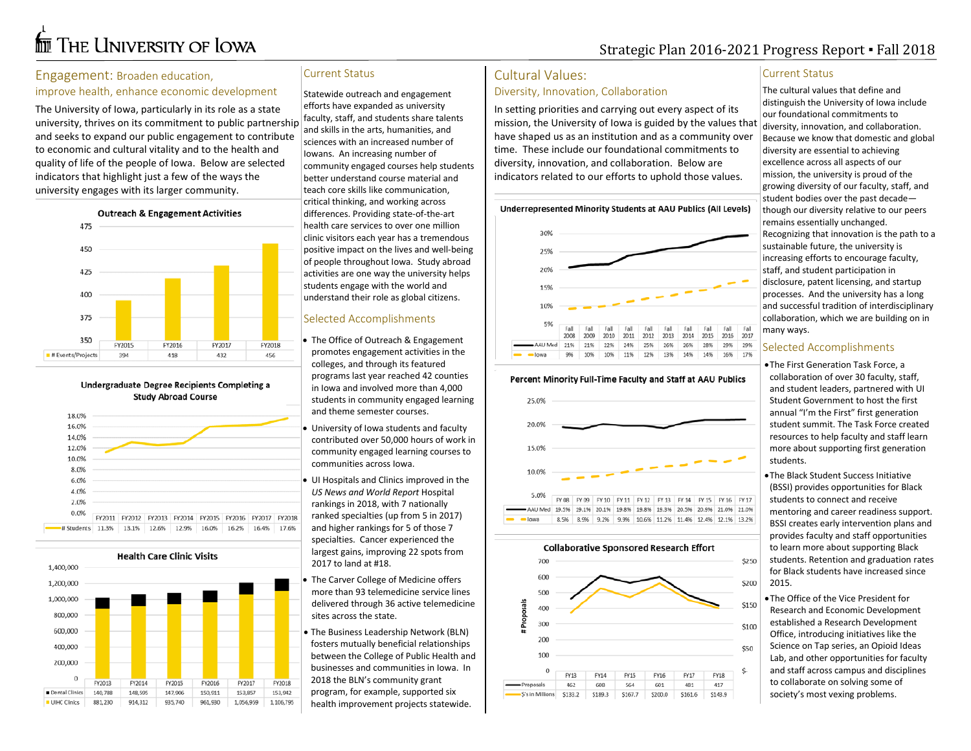# **for** The University of Iowa

# Strategic Plan 2016-2021 Progress Report ▪ Fall 2018

#### Engagement: Broaden education,

#### improve health, enhance economic development

The University of Iowa, particularly in its role as a state university, thrives on its commitment to public partnership and seeks to expand our public engagement to contribute to economic and cultural vitality and to the health and quality of life of the people of Iowa. Below are selected indicators that highlight just a few of the ways the university engages with its larger community.



Undergraduate Degree Recipients Completing a **Study Abroad Course** 



**Health Care Clinic Visits** 

1,400,000



#### Current Status

Statewide outreach and engagement efforts have expanded as university faculty, staff, and students share talents and skills in the arts, humanities, and sciences with an increased number of Iowans. An increasing number of community engaged courses help students better understand course material and teach core skills like communication, critical thinking, and working across differences. Providing state-of-the-art health care services to over one million clinic visitors each year has a tremendous positive impact on the lives and well-being of people throughout Iowa. Study abroad activities are one way the university helps students engage with the world and understand their role as global citizens.

#### Selected Accomplishments

- The Office of Outreach & Engagement promotes engagement activities in the colleges, and through its featured programs last year reached 42 counties in Iowa and involved more than 4,000 students in community engaged learning and theme semester courses.
- University of Iowa students and faculty contributed over 50,000 hours of work in community engaged learning courses to communities across Iowa.
- UI Hospitals and Clinics improved in the *US News and World Report* Hospital rankings in 2018, with 7 nationally ranked specialties (up from 5 in 2017) and higher rankings for 5 of those 7 specialties. Cancer experienced the largest gains, improving 22 spots from 2017 to land at #18.
- The Carver College of Medicine offers more than 93 telemedicine service lines delivered through 36 active telemedicine sites across the state.
- The Business Leadership Network (BLN) fosters mutually beneficial relationships between the College of Public Health and businesses and communities in Iowa. In 2018 the BLN's community grant program, for example, supported six health improvement projects statewide.

### Cultural Values:

#### Diversity, Innovation, Collaboration

In setting priorities and carrying out every aspect of its mission, the University of Iowa is guided by the values that have shaped us as an institution and as a community over time. These include our foundational commitments to diversity, innovation, and collaboration. Below are indicators related to our efforts to uphold those values.

Underrepresented Minority Students at AAU Publics (All Levels)



#### Percent Minority Full-Time Faculty and Staff at AAU Publics



#### 9.9% 10.6% 11.2% 11.4% 12.4% 12.1% 13.2% 9.2%



#### Current Status

The cultural values that define and distinguish the University of Iowa include our foundational commitments to diversity, innovation, and collaboration. Because we know that domestic and global diversity are essential to achieving excellence across all aspects of our mission, the university is proud of the growing diversity of our faculty, staff, and student bodies over the past decade though our diversity relative to our peers remains essentially unchanged. Recognizing that innovation is the path to a sustainable future, the university is increasing efforts to encourage faculty, staff, and student participation in disclosure, patent licensing, and startup processes. And the university has a long and successful tradition of interdisciplinary collaboration, which we are building on in many ways.

#### Selected Accomplishments

•The First Generation Task Force, a collaboration of over 30 faculty, staff, and student leaders, partnered with UI Student Government to host the first annual "I'm the First" first generation student summit. The Task Force created resources to help faculty and staff learn more about supporting first generation students.

•The Black Student Success Initiative (BSSI) provides opportunities for Black students to connect and receive mentoring and career readiness support. BSSI creates early intervention plans and provides faculty and staff opportunities to learn more about supporting Black students. Retention and graduation rates for Black students have increased since 2015.

•The Office of the Vice President for Research and Economic Development established a Research Development Office, introducing initiatives like the Science on Tap series, an Opioid Ideas Lab, and other opportunities for faculty and staff across campus and disciplines to collaborate on solving some of society's most vexing problems.

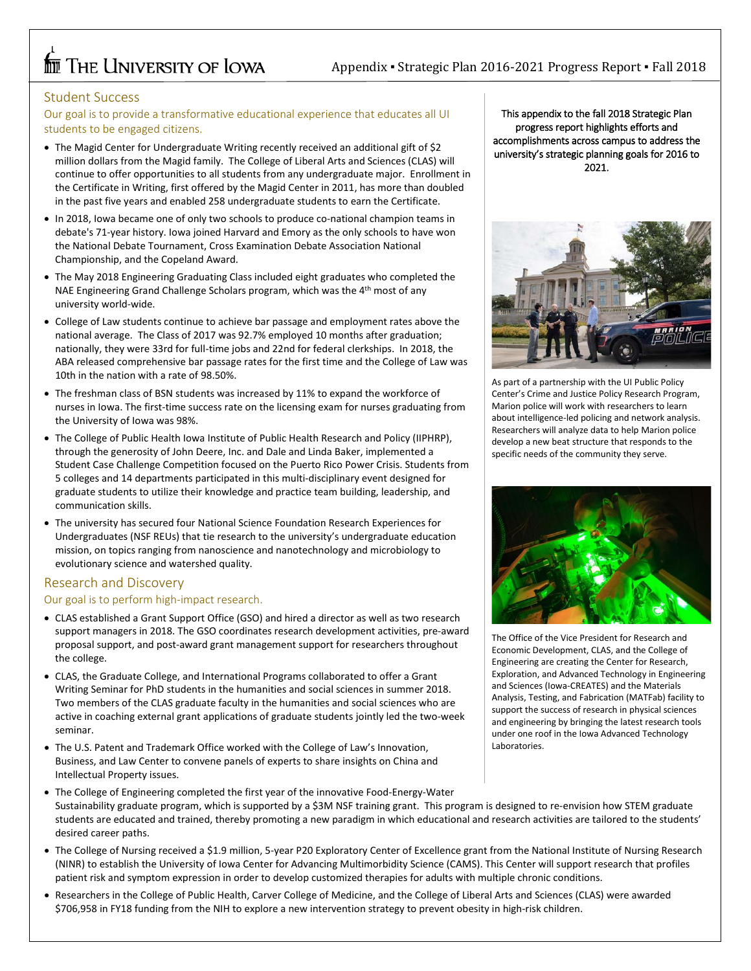# **THE UNIVERSITY OF LOWA**

# Appendix ▪ Strategic Plan 2016-2021 Progress Report ▪ Fall 2018

#### Student Success

Our goal is to provide a transformative educational experience that educates all UI students to be engaged citizens.

- The Magid Center for Undergraduate Writing recently received an additional gift of \$2 million dollars from the Magid family. The College of Liberal Arts and Sciences (CLAS) will continue to offer opportunities to all students from any undergraduate major. Enrollment in the Certificate in Writing, first offered by the Magid Center in 2011, has more than doubled in the past five years and enabled 258 undergraduate students to earn the Certificate.
- In 2018, Iowa became one of only two schools to produce co-national champion teams in debate's 71-year history. Iowa joined Harvard and Emory as the only schools to have won the National Debate Tournament, Cross Examination Debate Association National Championship, and the Copeland Award.
- The May 2018 Engineering Graduating Class included eight graduates who completed the NAE Engineering Grand Challenge Scholars program, which was the 4<sup>th</sup> most of any university world-wide.
- College of Law students continue to achieve bar passage and employment rates above the national average. The Class of 2017 was 92.7% employed 10 months after graduation; nationally, they were 33rd for full-time jobs and 22nd for federal clerkships. In 2018, the ABA released comprehensive bar passage rates for the first time and the College of Law was 10th in the nation with a rate of 98.50%.
- The freshman class of BSN students was increased by 11% to expand the workforce of nurses in Iowa. The first-time success rate on the licensing exam for nurses graduating from the University of Iowa was 98%.
- The College of Public Health Iowa Institute of Public Health Research and Policy (IIPHRP), through the generosity of John Deere, Inc. and Dale and Linda Baker, implemented a Student Case Challenge Competition focused on the Puerto Rico Power Crisis. Students from 5 colleges and 14 departments participated in this multi-disciplinary event designed for graduate students to utilize their knowledge and practice team building, leadership, and communication skills.
- The university has secured four National Science Foundation Research Experiences for Undergraduates (NSF REUs) that tie research to the university's undergraduate education mission, on topics ranging from nanoscience and nanotechnology and microbiology to evolutionary science and watershed quality.

## Research and Discovery Our goal is to perform high-impact research.

# • CLAS established a Grant Support Office (GSO) and hired a director as well as two research

- support managers in 2018. The GSO coordinates research development activities, pre-award proposal support, and post-award grant management support for researchers throughout the college.
- CLAS, the Graduate College, and International Programs collaborated to offer a Grant Writing Seminar for PhD students in the humanities and social sciences in summer 2018. Two members of the CLAS graduate faculty in the humanities and social sciences who are active in coaching external grant applications of graduate students jointly led the two-week seminar.
- The U.S. Patent and Trademark Office worked with the College of Law's Innovation, Business, and Law Center to convene panels of experts to share insights on China and Intellectual Property issues.
- The College of Engineering completed the first year of the innovative Food-Energy-Water Sustainability graduate program, which is supported by a \$3M NSF training grant. This program is designed to re-envision how STEM graduate students are educated and trained, thereby promoting a new paradigm in which educational and research activities are tailored to the students' desired career paths.
- The College of Nursing received a \$1.9 million, 5-year P20 Exploratory Center of Excellence grant from the National Institute of Nursing Research (NINR) to establish the University of Iowa Center for Advancing Multimorbidity Science (CAMS). This Center will support research that profiles patient risk and symptom expression in order to develop customized therapies for adults with multiple chronic conditions.
- Researchers in the College of Public Health, Carver College of Medicine, and the College of Liberal Arts and Sciences (CLAS) were awarded \$706,958 in FY18 funding from the NIH to explore a new intervention strategy to prevent obesity in high-risk children.

This appendix to the fall 2018 Strategic Plan progress report highlights efforts and accomplishments across campus to address the university's strategic planning goals for 2016 to 2021.



As part of a partnership with the UI Public Policy Center's Crime and Justice Policy Research Program, Marion police will work with researchers to learn about intelligence-led policing and network analysis. Researchers will analyze data to help Marion police develop a new beat structure that responds to the specific needs of the community they serve.



The Office of the Vice President for Research and Economic Development, CLAS, and the College of Engineering are creating the Center for Research, Exploration, and Advanced Technology in Engineering and Sciences (Iowa-CREATES) and the Materials Analysis, Testing, and Fabrication (MATFab) facility to support the success of research in physical sciences and engineering by bringing the latest research tools under one roof in the Iowa Advanced Technology Laboratories.

 $\overline{a}$